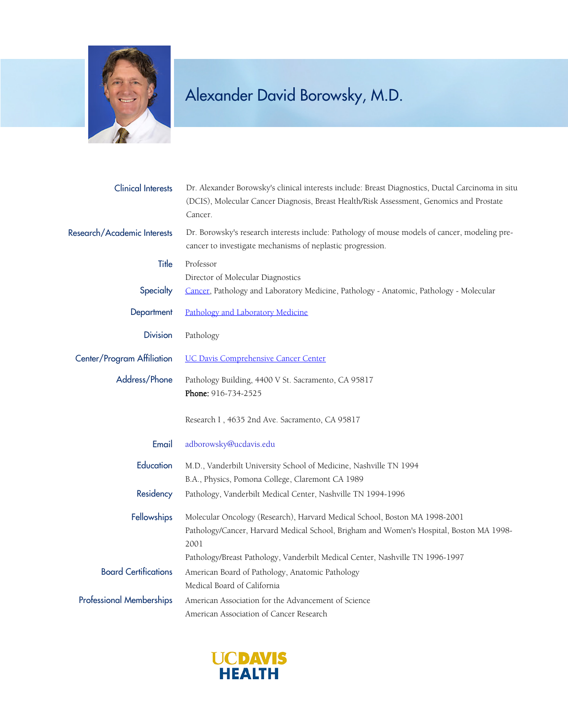

| <b>Clinical Interests</b>       | Dr. Alexander Borowsky's clinical interests include: Breast Diagnostics, Ductal Carcinoma in situ<br>(DCIS), Molecular Cancer Diagnosis, Breast Health/Risk Assessment, Genomics and Prostate<br>Cancer.                                                       |
|---------------------------------|----------------------------------------------------------------------------------------------------------------------------------------------------------------------------------------------------------------------------------------------------------------|
| Research/Academic Interests     | Dr. Borowsky's research interests include: Pathology of mouse models of cancer, modeling pre-<br>cancer to investigate mechanisms of neplastic progression.                                                                                                    |
| <b>Title</b>                    | Professor<br>Director of Molecular Diagnostics                                                                                                                                                                                                                 |
| Specialty                       | Cancer, Pathology and Laboratory Medicine, Pathology - Anatomic, Pathology - Molecular                                                                                                                                                                         |
| Department                      | Pathology and Laboratory Medicine                                                                                                                                                                                                                              |
| <b>Division</b>                 | Pathology                                                                                                                                                                                                                                                      |
| Center/Program Affiliation      | <b>UC Davis Comprehensive Cancer Center</b>                                                                                                                                                                                                                    |
| Address/Phone                   | Pathology Building, 4400 V St. Sacramento, CA 95817<br>Phone: 916-734-2525                                                                                                                                                                                     |
|                                 | Research I, 4635 2nd Ave. Sacramento, CA 95817                                                                                                                                                                                                                 |
| Email                           | adborowsky@ucdavis.edu                                                                                                                                                                                                                                         |
| Education                       | M.D., Vanderbilt University School of Medicine, Nashville TN 1994<br>B.A., Physics, Pomona College, Claremont CA 1989                                                                                                                                          |
| Residency                       | Pathology, Vanderbilt Medical Center, Nashville TN 1994-1996                                                                                                                                                                                                   |
| Fellowships                     | Molecular Oncology (Research), Harvard Medical School, Boston MA 1998-2001<br>Pathology/Cancer, Harvard Medical School, Brigham and Women's Hospital, Boston MA 1998-<br>2001<br>Pathology/Breast Pathology, Vanderbilt Medical Center, Nashville TN 1996-1997 |
| <b>Board Certifications</b>     | American Board of Pathology, Anatomic Pathology<br>Medical Board of California                                                                                                                                                                                 |
| <b>Professional Memberships</b> | American Association for the Advancement of Science<br>American Association of Cancer Research                                                                                                                                                                 |

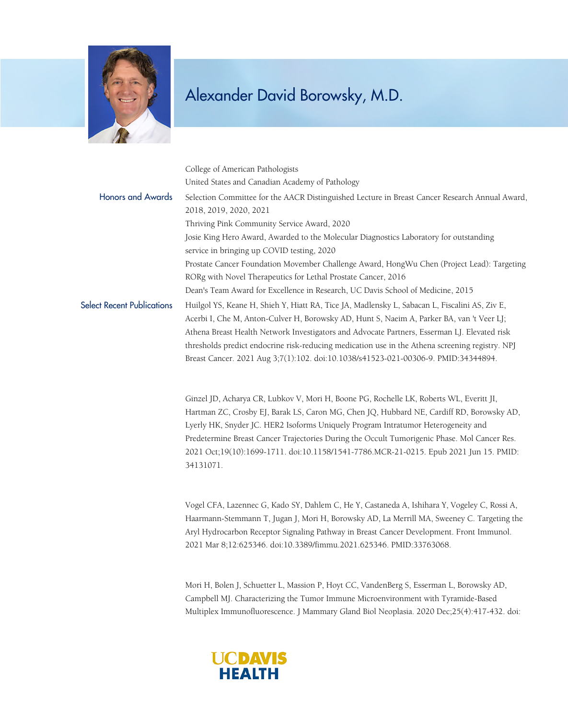

|                                   | College of American Pathologists                                                                |
|-----------------------------------|-------------------------------------------------------------------------------------------------|
|                                   | United States and Canadian Academy of Pathology                                                 |
| <b>Honors and Awards</b>          | Selection Committee for the AACR Distinguished Lecture in Breast Cancer Research Annual Award,  |
|                                   | 2018, 2019, 2020, 2021                                                                          |
|                                   | Thriving Pink Community Service Award, 2020                                                     |
|                                   | Josie King Hero Award, Awarded to the Molecular Diagnostics Laboratory for outstanding          |
|                                   | service in bringing up COVID testing, 2020                                                      |
|                                   | Prostate Cancer Foundation Movember Challenge Award, HongWu Chen (Project Lead): Targeting      |
|                                   | RORg with Novel Therapeutics for Lethal Prostate Cancer, 2016                                   |
|                                   | Dean's Team Award for Excellence in Research, UC Davis School of Medicine, 2015                 |
| <b>Select Recent Publications</b> | Huilgol YS, Keane H, Shieh Y, Hiatt RA, Tice JA, Madlensky L, Sabacan L, Fiscalini AS, Ziv E,   |
|                                   | Acerbi I, Che M, Anton-Culver H, Borowsky AD, Hunt S, Naeim A, Parker BA, van 't Veer LJ;       |
|                                   | Athena Breast Health Network Investigators and Advocate Partners, Esserman LJ. Elevated risk    |
|                                   | thresholds predict endocrine risk-reducing medication use in the Athena screening registry. NPJ |
|                                   | Breast Cancer. 2021 Aug 3;7(1):102. doi:10.1038/s41523-021-00306-9. PMID:34344894.              |

Ginzel JD, Acharya CR, Lubkov V, Mori H, Boone PG, Rochelle LK, Roberts WL, Everitt JI, Hartman ZC, Crosby EJ, Barak LS, Caron MG, Chen JQ, Hubbard NE, Cardiff RD, Borowsky AD, Lyerly HK, Snyder JC. HER2 Isoforms Uniquely Program Intratumor Heterogeneity and Predetermine Breast Cancer Trajectories During the Occult Tumorigenic Phase. Mol Cancer Res. 2021 Oct;19(10):1699-1711. doi:10.1158/1541-7786.MCR-21-0215. Epub 2021 Jun 15. PMID: 34131071.

Vogel CFA, Lazennec G, Kado SY, Dahlem C, He Y, Castaneda A, Ishihara Y, Vogeley C, Rossi A, Haarmann-Stemmann T, Jugan J, Mori H, Borowsky AD, La Merrill MA, Sweeney C. Targeting the Aryl Hydrocarbon Receptor Signaling Pathway in Breast Cancer Development. Front Immunol. 2021 Mar 8;12:625346. doi:10.3389/fimmu.2021.625346. PMID:33763068.

Mori H, Bolen J, Schuetter L, Massion P, Hoyt CC, VandenBerg S, Esserman L, Borowsky AD, Campbell MJ. Characterizing the Tumor Immune Microenvironment with Tyramide-Based Multiplex Immunofluorescence. J Mammary Gland Biol Neoplasia. 2020 Dec;25(4):417-432. doi:

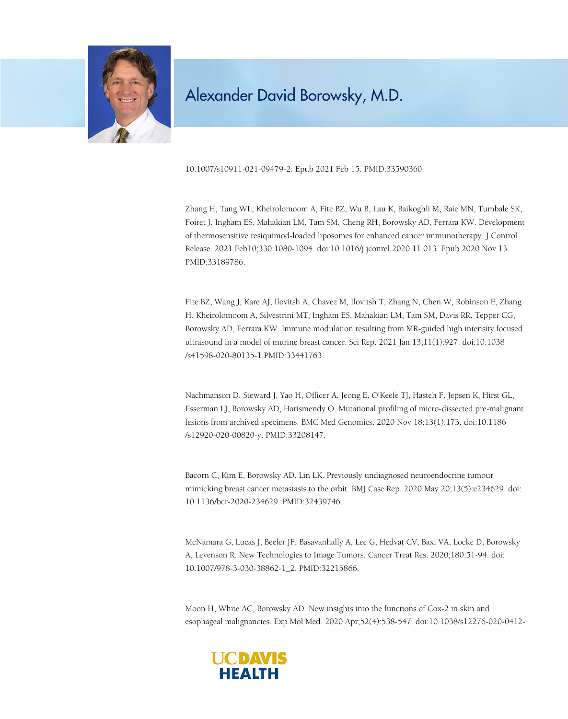

10.1007/s10911-021-09479-2. Epub 2021 Feb 15. PMID:33590360.

Zhang H, Tang WL, Kheirolomoom A, Fite BZ, Wu B, Lau K, Baikoghli M, Raie MN, Tumbale SK, Foiret J, Ingham ES, Mahakian LM, Tam SM, Cheng RH, Borowsky AD, Ferrara KW. Development of thermosensitive resiquimod-loaded liposomes for enhanced cancer immunotherapy. J Control Release. 2021 Feb10;330:1080-1094. doi:10.1016/j.jconrel.2020.11.013. Epub 2020 Nov 13. PMID:33189786.

Fite BZ, Wang J, Kare AJ, Ilovitsh A, Chavez M, Ilovitsh T, Zhang N, Chen W, Robinson E, Zhang H, Kheirolomoom A, Silvestrini MT, Ingham ES, Mahakian LM, Tam SM, Davis RR, Tepper CG, Borowsky AD, Ferrara KW. Immune modulation resulting from MR-guided high intensity focused ultrasound in a model of murine breast cancer. Sci Rep. 2021 Jan 13;11(1):927. doi:10.1038 /s41598-020-80135-1.PMID:33441763.

Nachmanson D, Steward J, Yao H, Officer A, Jeong E, O'Keefe TJ, Hasteh F, Jepsen K, Hirst GL, Esserman LJ, Borowsky AD, Harismendy O. Mutational profiling of micro-dissected pre-malignant lesions from archived specimens. BMC Med Genomics. 2020 Nov 18;13(1):173. doi:10.1186 /s12920-020-00820-y. PMID:33208147.

Bacorn C, Kim E, Borowsky AD, Lin LK. Previously undiagnosed neuroendocrine tumour mimicking breast cancer metastasis to the orbit. BMJ Case Rep. 2020 May 20;13(5):e234629. doi: 10.1136/bcr-2020-234629. PMID:32439746.

McNamara G, Lucas J, Beeler JF, Basavanhally A, Lee G, Hedvat CV, Baxi VA, Locke D, Borowsky A, Levenson R. New Technologies to Image Tumors. Cancer Treat Res. 2020;180:51-94. doi: 10.1007/978-3-030-38862-1\_2. PMID:32215866.

Moon H, White AC, Borowsky AD. New insights into the functions of Cox-2 in skin and esophageal malignancies. Exp Mol Med. 2020 Apr;52(4):538-547. doi:10.1038/s12276-020-0412-